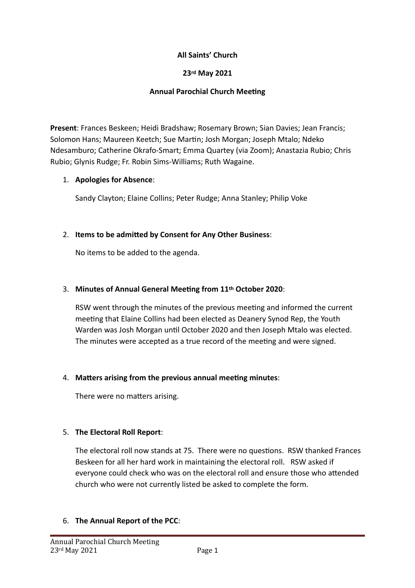### **All Saints' Church**

#### **23rd May 2021**

### **Annual Parochial Church Meeting**

**Present**: Frances Beskeen; Heidi Bradshaw; Rosemary Brown; Sian Davies; Jean Francis; Solomon Hans; Maureen Keetch; Sue Martin; Josh Morgan; Joseph Mtalo; Ndeko Ndesamburo; Catherine Okrafo-Smart; Emma Quartey (via Zoom); Anastazia Rubio; Chris Rubio; Glynis Rudge; Fr. Robin Sims-Williams; Ruth Wagaine.

## 1. **Apologies for Absence:**

Sandy Clayton; Elaine Collins; Peter Rudge; Anna Stanley; Philip Voke

# 2. **Items to be admitted by Consent for Any Other Business:**

No items to be added to the agenda.

### 3. Minutes of Annual General Meeting from 11<sup>th</sup> October 2020:

RSW went through the minutes of the previous meeting and informed the current meeting that Elaine Collins had been elected as Deanery Synod Rep, the Youth Warden was Josh Morgan until October 2020 and then Joseph Mtalo was elected. The minutes were accepted as a true record of the meeting and were signed.

### 4. Matters arising from the previous annual meeting minutes:

There were no matters arising.

### 5. The Electoral Roll Report:

The electoral roll now stands at 75. There were no questions. RSW thanked Frances Beskeen for all her hard work in maintaining the electoral roll. RSW asked if everyone could check who was on the electoral roll and ensure those who attended church who were not currently listed be asked to complete the form.

### 6. **The Annual Report of the PCC:**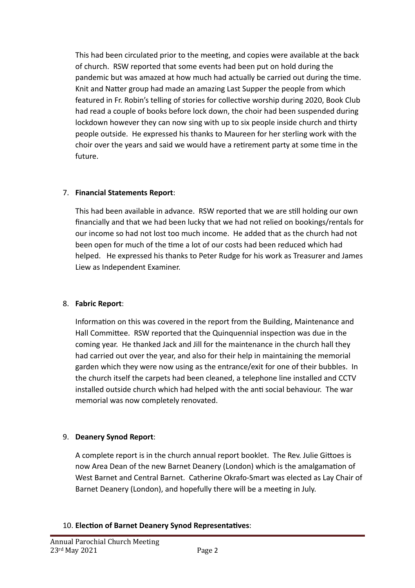This had been circulated prior to the meeting, and copies were available at the back of church. RSW reported that some events had been put on hold during the pandemic but was amazed at how much had actually be carried out during the time. Knit and Natter group had made an amazing Last Supper the people from which featured in Fr. Robin's telling of stories for collective worship during 2020, Book Club had read a couple of books before lock down, the choir had been suspended during lockdown however they can now sing with up to six people inside church and thirty people outside. He expressed his thanks to Maureen for her sterling work with the choir over the years and said we would have a retirement party at some time in the future. 

## 7. **Financial Statements Report**:

This had been available in advance. RSW reported that we are still holding our own financially and that we had been lucky that we had not relied on bookings/rentals for our income so had not lost too much income. He added that as the church had not been open for much of the time a lot of our costs had been reduced which had helped. He expressed his thanks to Peter Rudge for his work as Treasurer and James Liew as Independent Examiner.

# 8. **Fabric Report**:

Information on this was covered in the report from the Building, Maintenance and Hall Committee. RSW reported that the Quinquennial inspection was due in the coming year. He thanked Jack and Jill for the maintenance in the church hall they had carried out over the year, and also for their help in maintaining the memorial garden which they were now using as the entrance/exit for one of their bubbles. In the church itself the carpets had been cleaned, a telephone line installed and CCTV installed outside church which had helped with the anti social behaviour. The war memorial was now completely renovated.

# 9. **Deanery Synod Report:**

A complete report is in the church annual report booklet. The Rev. Julie Gittoes is now Area Dean of the new Barnet Deanery (London) which is the amalgamation of West Barnet and Central Barnet. Catherine Okrafo-Smart was elected as Lay Chair of Barnet Deanery (London), and hopefully there will be a meeting in July.

# 10. Election of Barnet Deanery Synod Representatives: